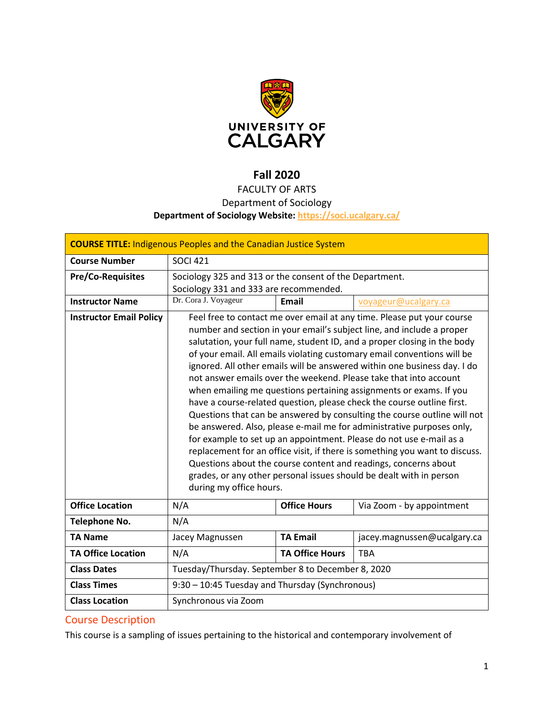

# **Fall 2020**

# FACULTY OF ARTS

# Department of Sociology

# **Department of Sociology Website:<https://soci.ucalgary.ca/>**

| <b>COURSE TITLE: Indigenous Peoples and the Canadian Justice System</b> |                                                                                                                                                                                                                                                                                                                                                                                                                                                                                                                                                                                                                                                                                                                                                                                                                                                                                                                                                                                                                                                                                         |                        |                             |  |
|-------------------------------------------------------------------------|-----------------------------------------------------------------------------------------------------------------------------------------------------------------------------------------------------------------------------------------------------------------------------------------------------------------------------------------------------------------------------------------------------------------------------------------------------------------------------------------------------------------------------------------------------------------------------------------------------------------------------------------------------------------------------------------------------------------------------------------------------------------------------------------------------------------------------------------------------------------------------------------------------------------------------------------------------------------------------------------------------------------------------------------------------------------------------------------|------------------------|-----------------------------|--|
| <b>Course Number</b>                                                    | <b>SOCI 421</b>                                                                                                                                                                                                                                                                                                                                                                                                                                                                                                                                                                                                                                                                                                                                                                                                                                                                                                                                                                                                                                                                         |                        |                             |  |
| <b>Pre/Co-Requisites</b>                                                | Sociology 325 and 313 or the consent of the Department.<br>Sociology 331 and 333 are recommended.                                                                                                                                                                                                                                                                                                                                                                                                                                                                                                                                                                                                                                                                                                                                                                                                                                                                                                                                                                                       |                        |                             |  |
| <b>Instructor Name</b>                                                  | Dr. Cora J. Voyageur<br>Email<br>voyageur@ucalgary.ca                                                                                                                                                                                                                                                                                                                                                                                                                                                                                                                                                                                                                                                                                                                                                                                                                                                                                                                                                                                                                                   |                        |                             |  |
| <b>Instructor Email Policy</b>                                          | Feel free to contact me over email at any time. Please put your course<br>number and section in your email's subject line, and include a proper<br>salutation, your full name, student ID, and a proper closing in the body<br>of your email. All emails violating customary email conventions will be<br>ignored. All other emails will be answered within one business day. I do<br>not answer emails over the weekend. Please take that into account<br>when emailing me questions pertaining assignments or exams. If you<br>have a course-related question, please check the course outline first.<br>Questions that can be answered by consulting the course outline will not<br>be answered. Also, please e-mail me for administrative purposes only,<br>for example to set up an appointment. Please do not use e-mail as a<br>replacement for an office visit, if there is something you want to discuss.<br>Questions about the course content and readings, concerns about<br>grades, or any other personal issues should be dealt with in person<br>during my office hours. |                        |                             |  |
| <b>Office Location</b>                                                  | N/A                                                                                                                                                                                                                                                                                                                                                                                                                                                                                                                                                                                                                                                                                                                                                                                                                                                                                                                                                                                                                                                                                     | <b>Office Hours</b>    | Via Zoom - by appointment   |  |
| <b>Telephone No.</b>                                                    | N/A                                                                                                                                                                                                                                                                                                                                                                                                                                                                                                                                                                                                                                                                                                                                                                                                                                                                                                                                                                                                                                                                                     |                        |                             |  |
| <b>TA Name</b>                                                          | Jacey Magnussen                                                                                                                                                                                                                                                                                                                                                                                                                                                                                                                                                                                                                                                                                                                                                                                                                                                                                                                                                                                                                                                                         | <b>TA Email</b>        | jacey.magnussen@ucalgary.ca |  |
| <b>TA Office Location</b>                                               | N/A                                                                                                                                                                                                                                                                                                                                                                                                                                                                                                                                                                                                                                                                                                                                                                                                                                                                                                                                                                                                                                                                                     | <b>TA Office Hours</b> | <b>TBA</b>                  |  |
| <b>Class Dates</b>                                                      | Tuesday/Thursday. September 8 to December 8, 2020                                                                                                                                                                                                                                                                                                                                                                                                                                                                                                                                                                                                                                                                                                                                                                                                                                                                                                                                                                                                                                       |                        |                             |  |
| <b>Class Times</b>                                                      | 9:30 - 10:45 Tuesday and Thursday (Synchronous)                                                                                                                                                                                                                                                                                                                                                                                                                                                                                                                                                                                                                                                                                                                                                                                                                                                                                                                                                                                                                                         |                        |                             |  |
| <b>Class Location</b>                                                   | Synchronous via Zoom                                                                                                                                                                                                                                                                                                                                                                                                                                                                                                                                                                                                                                                                                                                                                                                                                                                                                                                                                                                                                                                                    |                        |                             |  |

# Course Description

This course is a sampling of issues pertaining to the historical and contemporary involvement of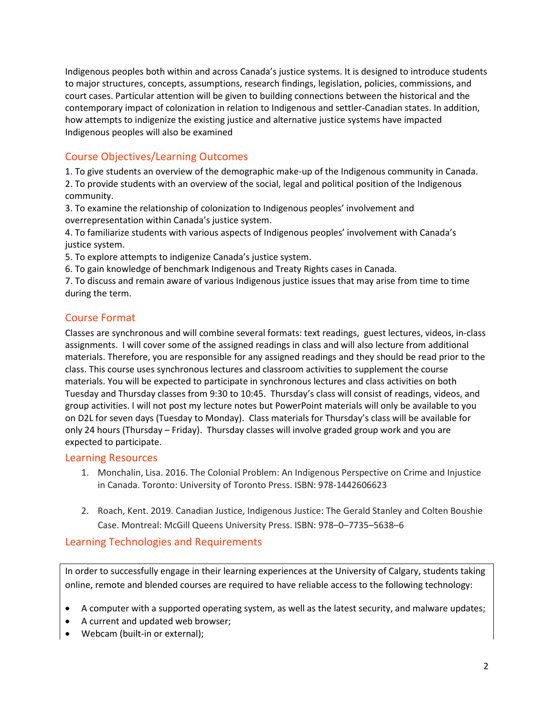Indigenous peoples both within and across Canada's justice systems. It is designed to introduce students to major structures, concepts, assumptions, research findings, legislation, policies, commissions, and court cases. Particular attention will be given to building connections between the historical and the contemporary impact of colonization in relation to Indigenous and settler-Canadian states. In addition, how attempts to indigenize the existing justice and alternative justice systems have impacted Indigenous peoples will also be examined

# Course Objectives/Learning Outcomes

1. To give students an overview of the demographic make-up of the Indigenous community in Canada.

2. To provide students with an overview of the social, legal and political position of the Indigenous community.

3. To examine the relationship of colonization to Indigenous peoples' involvement and overrepresentation within Canada's justice system.

4. To familiarize students with various aspects of Indigenous peoples' involvement with Canada's justice system.

5. To explore attempts to indigenize Canada's justice system.

6. To gain knowledge of benchmark Indigenous and Treaty Rights cases in Canada.

7. To discuss and remain aware of various Indigenous justice issues that may arise from time to time during the term.

# Course Format

Classes are synchronous and will combine several formats: text readings, guest lectures, videos, in-class assignments. I will cover some of the assigned readings in class and will also lecture from additional materials. Therefore, you are responsible for any assigned readings and they should be read prior to the class. This course uses synchronous lectures and classroom activities to supplement the course materials. You will be expected to participate in synchronous lectures and class activities on both Tuesday and Thursday classes from 9:30 to 10:45. Thursday's class will consist of readings, videos, and group activities. I will not post my lecture notes but PowerPoint materials will only be available to you on D2L for seven days (Tuesday to Monday). Class materials for Thursday's class will be available for only 24 hours (Thursday – Friday). Thursday classes will involve graded group work and you are expected to participate.

## Learning Resources

- 1. Monchalin, Lisa. 2016. The Colonial Problem: An Indigenous Perspective on Crime and Injustice in Canada. Toronto: University of Toronto Press. ISBN: 978-1442606623
- 2. Roach, Kent. 2019. Canadian Justice, Indigenous Justice: The Gerald Stanley and Colten Boushie Case. Montreal: McGill Queens University Press. ISBN: 978–0–7735–5638–6

# Learning Technologies and Requirements

In order to successfully engage in their learning experiences at the University of Calgary, students taking online, remote and blended courses are required to have reliable access to the following technology:

- A computer with a supported operating system, as well as the latest security, and malware updates;
- A current and updated web browser;
- Webcam (built-in or external);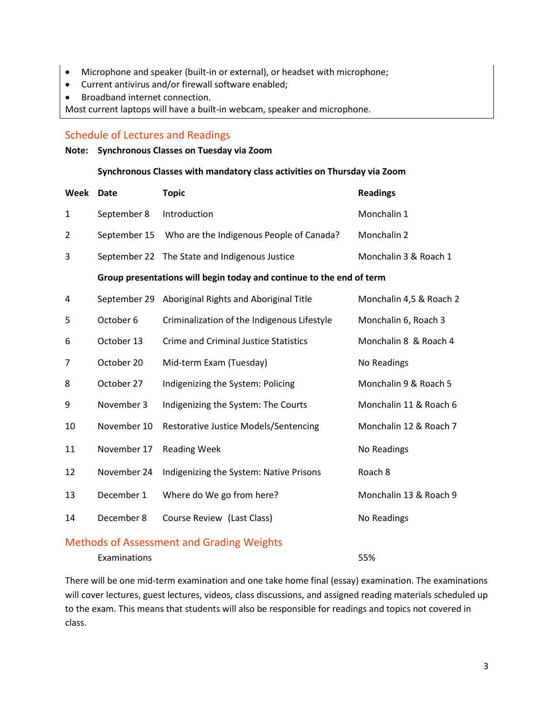- Microphone and speaker (built-in or external), or headset with microphone;
- Current antivirus and/or firewall software enabled;
- Broadband internet connection.

Most current laptops will have a built-in webcam, speaker and microphone.

#### Schedule of Lectures and Readings

**Note: Synchronous Classes on Tuesday via Zoom**

#### **Synchronous Classes with mandatory class activities on Thursday via Zoom**

| Week           | <b>Date</b>  | <b>Topic</b>                                                         | <b>Readings</b>         |
|----------------|--------------|----------------------------------------------------------------------|-------------------------|
| 1              | September 8  | Introduction                                                         | Monchalin 1             |
| $\overline{2}$ | September 15 | Who are the Indigenous People of Canada?                             | Monchalin 2             |
| 3              |              | September 22 The State and Indigenous Justice                        | Monchalin 3 & Roach 1   |
|                |              | Group presentations will begin today and continue to the end of term |                         |
| 4              | September 29 | Aboriginal Rights and Aboriginal Title                               | Monchalin 4,5 & Roach 2 |
| 5              | October 6    | Criminalization of the Indigenous Lifestyle                          | Monchalin 6, Roach 3    |
| 6              | October 13   | <b>Crime and Criminal Justice Statistics</b>                         | Monchalin 8 & Roach 4   |
| 7              | October 20   | Mid-term Exam (Tuesday)                                              | No Readings             |
| 8              | October 27   | Indigenizing the System: Policing                                    | Monchalin 9 & Roach 5   |
| 9              | November 3   | Indigenizing the System: The Courts                                  | Monchalin 11 & Roach 6  |
| 10             | November 10  | Restorative Justice Models/Sentencing                                | Monchalin 12 & Roach 7  |
| 11             | November 17  | <b>Reading Week</b>                                                  | No Readings             |
| 12             | November 24  | Indigenizing the System: Native Prisons                              | Roach 8                 |
| 13             | December 1   | Where do We go from here?                                            | Monchalin 13 & Roach 9  |
| 14             | December 8   | Course Review (Last Class)                                           | No Readings             |
|                |              |                                                                      |                         |

# Methods of Assessment and Grading Weights

Examinations 55%

There will be one mid-term examination and one take home final (essay) examination. The examinations will cover lectures, guest lectures, videos, class discussions, and assigned reading materials scheduled up to the exam. This means that students will also be responsible for readings and topics not covered in class.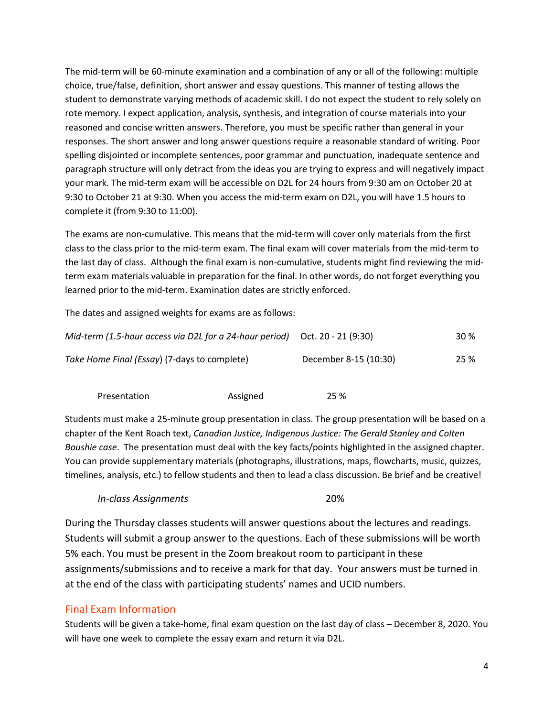The mid-term will be 60-minute examination and a combination of any or all of the following: multiple choice, true/false, definition, short answer and essay questions. This manner of testing allows the student to demonstrate varying methods of academic skill. I do not expect the student to rely solely on rote memory. I expect application, analysis, synthesis, and integration of course materials into your reasoned and concise written answers. Therefore, you must be specific rather than general in your responses. The short answer and long answer questions require a reasonable standard of writing. Poor spelling disjointed or incomplete sentences, poor grammar and punctuation, inadequate sentence and paragraph structure will only detract from the ideas you are trying to express and will negatively impact your mark. The mid-term exam will be accessible on D2L for 24 hours from 9:30 am on October 20 at 9:30 to October 21 at 9:30. When you access the mid-term exam on D2L, you will have 1.5 hours to complete it (from 9:30 to 11:00).

The exams are non-cumulative. This means that the mid-term will cover only materials from the first class to the class prior to the mid-term exam. The final exam will cover materials from the mid-term to the last day of class. Although the final exam is non-cumulative, students might find reviewing the midterm exam materials valuable in preparation for the final. In other words, do not forget everything you learned prior to the mid-term. Examination dates are strictly enforced.

The dates and assigned weights for exams are as follows:

| Mid-term (1.5-hour access via D2L for a 24-hour period) $Oct. 20 - 21 (9:30)$ |                       | 30 % |
|-------------------------------------------------------------------------------|-----------------------|------|
| Take Home Final (Essay) (7-days to complete)                                  | December 8-15 (10:30) | 25 % |

| Presentation | Assigned | 25 % |
|--------------|----------|------|
|              |          |      |

Students must make a 25-minute group presentation in class. The group presentation will be based on a chapter of the Kent Roach text, *Canadian Justice, Indigenous Justice: The Gerald Stanley and Colten Boushie case*. The presentation must deal with the key facts/points highlighted in the assigned chapter. You can provide supplementary materials (photographs, illustrations, maps, flowcharts, music, quizzes, timelines, analysis, etc.) to fellow students and then to lead a class discussion. Be brief and be creative!

#### *In-class Assignments* 20%

During the Thursday classes students will answer questions about the lectures and readings. Students will submit a group answer to the questions. Each of these submissions will be worth 5% each. You must be present in the Zoom breakout room to participant in these assignments/submissions and to receive a mark for that day. Your answers must be turned in at the end of the class with participating students' names and UCID numbers.

## Final Exam Information

Students will be given a take-home, final exam question on the last day of class – December 8, 2020. You will have one week to complete the essay exam and return it via D2L.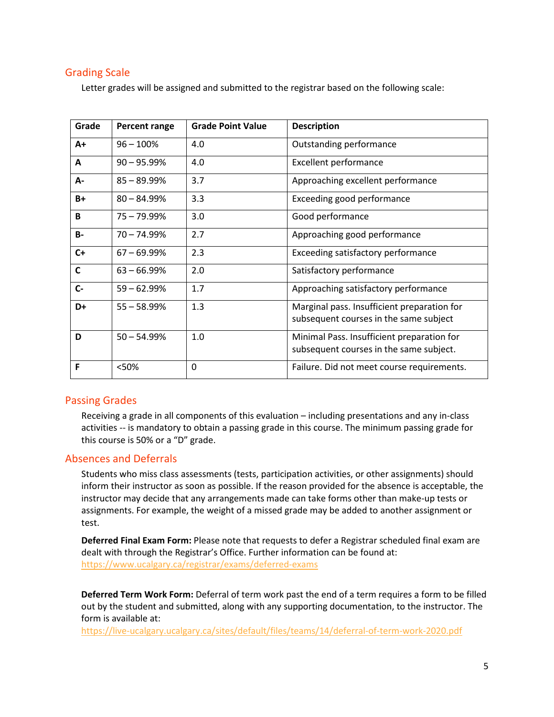# Grading Scale

Letter grades will be assigned and submitted to the registrar based on the following scale:

| Grade        | Percent range  | <b>Grade Point Value</b> | <b>Description</b>                                                                    |
|--------------|----------------|--------------------------|---------------------------------------------------------------------------------------|
| $A+$         | $96 - 100%$    | 4.0                      | Outstanding performance                                                               |
| A            | $90 - 95.99\%$ | 4.0                      | <b>Excellent performance</b>                                                          |
| А-           | $85 - 89.99%$  | 3.7                      | Approaching excellent performance                                                     |
| $B+$         | $80 - 84.99%$  | 3.3                      | Exceeding good performance                                                            |
| B            | 75 - 79.99%    | 3.0                      | Good performance                                                                      |
| <b>B-</b>    | $70 - 74.99%$  | 2.7                      | Approaching good performance                                                          |
| $C+$         | $67 - 69.99\%$ | 2.3                      | Exceeding satisfactory performance                                                    |
| $\mathsf{C}$ | $63 - 66.99\%$ | 2.0                      | Satisfactory performance                                                              |
| $C -$        | $59 - 62.99%$  | 1.7                      | Approaching satisfactory performance                                                  |
| D+           | $55 - 58.99%$  | 1.3                      | Marginal pass. Insufficient preparation for<br>subsequent courses in the same subject |
| D            | $50 - 54.99%$  | 1.0                      | Minimal Pass. Insufficient preparation for<br>subsequent courses in the same subject. |
| F            | <50%           | 0                        | Failure. Did not meet course requirements.                                            |

## Passing Grades

Receiving a grade in all components of this evaluation – including presentations and any in-class activities -- is mandatory to obtain a passing grade in this course. The minimum passing grade for this course is 50% or a "D" grade.

#### Absences and Deferrals

Students who miss class assessments (tests, participation activities, or other assignments) should inform their instructor as soon as possible. If the reason provided for the absence is acceptable, the instructor may decide that any arrangements made can take forms other than make-up tests or assignments. For example, the weight of a missed grade may be added to another assignment or test.

**Deferred Final Exam Form:** Please note that requests to defer a Registrar scheduled final exam are dealt with through the Registrar's Office. Further information can be found at: <https://www.ucalgary.ca/registrar/exams/deferred-exams>

**Deferred Term Work Form:** Deferral of term work past the end of a term requires a form to be filled out by the student and submitted, along with any supporting documentation, to the instructor. The form is available at:

<https://live-ucalgary.ucalgary.ca/sites/default/files/teams/14/deferral-of-term-work-2020.pdf>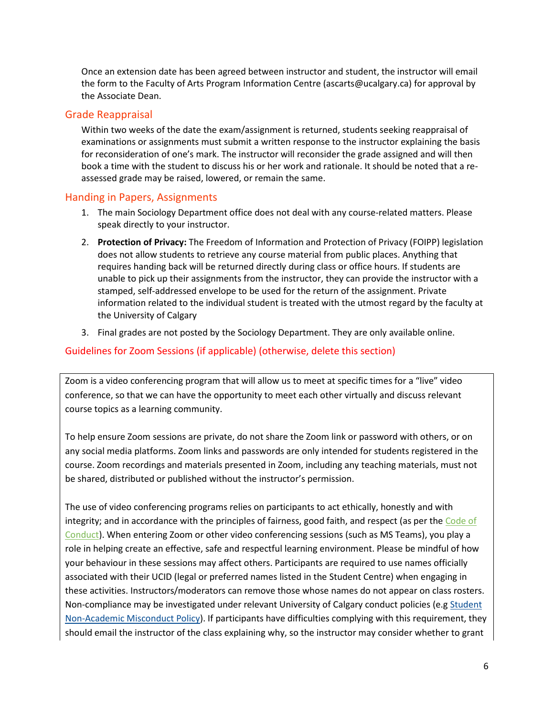Once an extension date has been agreed between instructor and student, the instructor will email the form to the Faculty of Arts Program Information Centre (ascarts@ucalgary.ca) for approval by the Associate Dean.

## Grade Reappraisal

Within two weeks of the date the exam/assignment is returned, students seeking reappraisal of examinations or assignments must submit a written response to the instructor explaining the basis for reconsideration of one's mark. The instructor will reconsider the grade assigned and will then book a time with the student to discuss his or her work and rationale. It should be noted that a reassessed grade may be raised, lowered, or remain the same.

# Handing in Papers, Assignments

- 1. The main Sociology Department office does not deal with any course-related matters. Please speak directly to your instructor.
- 2. **Protection of Privacy:** The Freedom of Information and Protection of Privacy (FOIPP) legislation does not allow students to retrieve any course material from public places. Anything that requires handing back will be returned directly during class or office hours. If students are unable to pick up their assignments from the instructor, they can provide the instructor with a stamped, self-addressed envelope to be used for the return of the assignment. Private information related to the individual student is treated with the utmost regard by the faculty at the University of Calgary
- 3. Final grades are not posted by the Sociology Department. They are only available online.

# Guidelines for Zoom Sessions (if applicable) (otherwise, delete this section)

Zoom is a video conferencing program that will allow us to meet at specific times for a "live" video conference, so that we can have the opportunity to meet each other virtually and discuss relevant course topics as a learning community.

To help ensure Zoom sessions are private, do not share the Zoom link or password with others, or on any social media platforms. Zoom links and passwords are only intended for students registered in the course. Zoom recordings and materials presented in Zoom, including any teaching materials, must not be shared, distributed or published without the instructor's permission.

The use of video conferencing programs relies on participants to act ethically, honestly and with integrity; and in accordance with the principles of fairness, good faith, and respect (as per the [Code of](https://www.ucalgary.ca/policies/files/policies/code-of-conduct.pdf)  [Conduct\)](https://www.ucalgary.ca/policies/files/policies/code-of-conduct.pdf). When entering Zoom or other video conferencing sessions (such as MS Teams), you play a role in helping create an effective, safe and respectful learning environment. Please be mindful of how your behaviour in these sessions may affect others. Participants are required to use names officially associated with their UCID (legal or preferred names listed in the Student Centre) when engaging in these activities. Instructors/moderators can remove those whose names do not appear on class rosters. Non-compliance may be investigated under relevant University of Calgary conduct policies (e.g [Student](https://ucalgary.ca/policies/files/policies/non-academic-misconduct-policy.pdf)  [Non-Academic Misconduct Policy\)](https://ucalgary.ca/policies/files/policies/non-academic-misconduct-policy.pdf). If participants have difficulties complying with this requirement, they should email the instructor of the class explaining why, so the instructor may consider whether to grant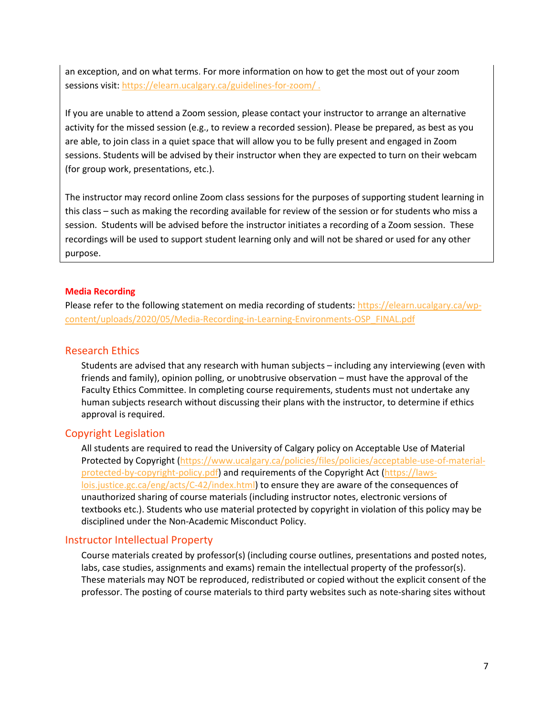an exception, and on what terms. For more information on how to get the most out of your zoom sessions visit[: https://elearn.ucalgary.ca/guidelines-for-zoom/](https://elearn.ucalgary.ca/guidelines-for-zoom/).

If you are unable to attend a Zoom session, please contact your instructor to arrange an alternative activity for the missed session (e.g., to review a recorded session). Please be prepared, as best as you are able, to join class in a quiet space that will allow you to be fully present and engaged in Zoom sessions. Students will be advised by their instructor when they are expected to turn on their webcam (for group work, presentations, etc.).

The instructor may record online Zoom class sessions for the purposes of supporting student learning in this class – such as making the recording available for review of the session or for students who miss a session. Students will be advised before the instructor initiates a recording of a Zoom session. These recordings will be used to support student learning only and will not be shared or used for any other purpose.

#### **Media Recording**

Please refer to the following statement on media recording of students: [https://elearn.ucalgary.ca/wp](https://elearn.ucalgary.ca/wp-content/uploads/2020/05/Media-Recording-in-Learning-Environments-OSP_FINAL.pdf)[content/uploads/2020/05/Media-Recording-in-Learning-Environments-OSP\\_FINAL.pdf](https://elearn.ucalgary.ca/wp-content/uploads/2020/05/Media-Recording-in-Learning-Environments-OSP_FINAL.pdf)

# Research Ethics

Students are advised that any research with human subjects – including any interviewing (even with friends and family), opinion polling, or unobtrusive observation – must have the approval of the Faculty Ethics Committee. In completing course requirements, students must not undertake any human subjects research without discussing their plans with the instructor, to determine if ethics approval is required.

## Copyright Legislation

All students are required to read the University of Calgary policy on Acceptable Use of Material Protected by Copyright [\(https://www.ucalgary.ca/policies/files/policies/acceptable-use-of-material](https://www.ucalgary.ca/policies/files/policies/acceptable-use-of-material-protected-by-copyright-policy.pdf)[protected-by-copyright-policy.pdf\)](https://www.ucalgary.ca/policies/files/policies/acceptable-use-of-material-protected-by-copyright-policy.pdf) and requirements of the Copyright Act [\(https://laws](https://laws-lois.justice.gc.ca/eng/acts/C-42/index.html)[lois.justice.gc.ca/eng/acts/C-42/index.html\)](https://laws-lois.justice.gc.ca/eng/acts/C-42/index.html) to ensure they are aware of the consequences of unauthorized sharing of course materials (including instructor notes, electronic versions of textbooks etc.). Students who use material protected by copyright in violation of this policy may be disciplined under the Non-Academic Misconduct Policy.

## Instructor Intellectual Property

Course materials created by professor(s) (including course outlines, presentations and posted notes, labs, case studies, assignments and exams) remain the intellectual property of the professor(s). These materials may NOT be reproduced, redistributed or copied without the explicit consent of the professor. The posting of course materials to third party websites such as note-sharing sites without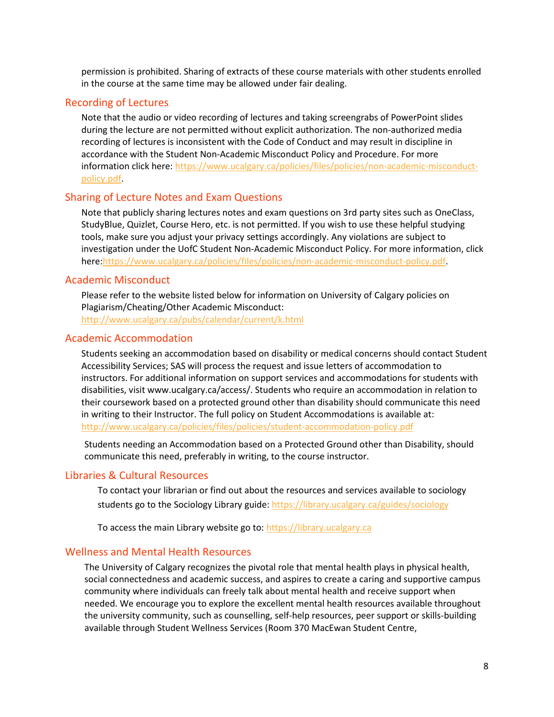permission is prohibited. Sharing of extracts of these course materials with other students enrolled in the course at the same time may be allowed under fair dealing.

#### Recording of Lectures

Note that the audio or video recording of lectures and taking screengrabs of PowerPoint slides during the lecture are not permitted without explicit authorization. The non-authorized media recording of lectures is inconsistent with the Code of Conduct and may result in discipline in accordance with the Student Non-Academic Misconduct Policy and Procedure. For more information click here: [https://www.ucalgary.ca/policies/files/policies/non-academic-misconduct](https://www.ucalgary.ca/policies/files/policies/non-academic-misconduct-policy.pdf)[policy.pdf.](https://www.ucalgary.ca/policies/files/policies/non-academic-misconduct-policy.pdf)

#### Sharing of Lecture Notes and Exam Questions

Note that publicly sharing lectures notes and exam questions on 3rd party sites such as OneClass, StudyBlue, Quizlet, Course Hero, etc. is not permitted. If you wish to use these helpful studying tools, make sure you adjust your privacy settings accordingly. Any violations are subject to investigation under the UofC Student Non-Academic Misconduct Policy. For more information, click here[:https://www.ucalgary.ca/policies/files/policies/non-academic-misconduct-policy.pdf.](https://www.ucalgary.ca/policies/files/policies/non-academic-misconduct-policy.pdf)

#### Academic Misconduct

Please refer to the website listed below for information on University of Calgary policies on Plagiarism/Cheating/Other Academic Misconduct:

<http://www.ucalgary.ca/pubs/calendar/current/k.html>

#### Academic Accommodation

Students seeking an accommodation based on disability or medical concerns should contact Student Accessibility Services; SAS will process the request and issue letters of accommodation to instructors. For additional information on support services and accommodations for students with disabilities, visit www.ucalgary.ca/access/. Students who require an accommodation in relation to their coursework based on a protected ground other than disability should communicate this need in writing to their Instructor. The full policy on Student Accommodations is available at: <http://www.ucalgary.ca/policies/files/policies/student-accommodation-policy.pdf>

Students needing an Accommodation based on a Protected Ground other than Disability, should communicate this need, preferably in writing, to the course instructor.

#### Libraries & Cultural Resources

To contact your librarian or find out about the resources and services available to sociology students go to the Sociology Library guide[: https://library.ucalgary.ca/guides/sociology](https://library.ucalgary.ca/guides/sociology)

To access the main Library website go to: [https://library.ucalgary.ca](https://library.ucalgary.ca/)

#### Wellness and Mental Health Resources

The University of Calgary recognizes the pivotal role that mental health plays in physical health, social connectedness and academic success, and aspires to create a caring and supportive campus community where individuals can freely talk about mental health and receive support when needed. We encourage you to explore the excellent mental health resources available throughout the university community, such as counselling, self-help resources, peer support or skills-building available through Student Wellness Services (Room 370 MacEwan Student Centre,